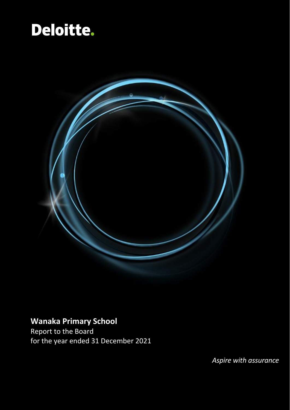

#### **Wanaka Primary School**

Report to the Board for the year ended 31 December 2021

 *Aspire with assurance*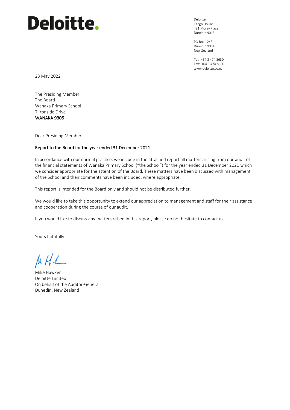Deloitte Otago House 481 Moray Place Dunedin 9016

PO Box 1245 Dunedin 9054 New Zealand

Tel: +64 3 474 8630 Fax: +64 3 474 8650 www.deloitte.co.nz

23 May 2022

The Presiding Member The Board Wanaka Primary School 7 Ironside Drive WANAKA 9305

Dear Presiding Member

#### Report to the Board for the year ended 31 December 2021

In accordance with our normal practice, we include in the attached report all matters arising from our audit of the financial statements of Wanaka Primary School ("the School") for the year ended 31 December 2021 which we consider appropriate for the attention of the Board. These matters have been discussed with management of the School and their comments have been included, where appropriate.

This report is intended for the Board only and should not be distributed further.

We would like to take this opportunity to extend our appreciation to management and staff for their assistance and cooperation during the course of our audit.

If you would like to discuss any matters raised in this report, please do not hesitate to contact us.

Yours faithfully

 $\mu$  H

Mike Hawken Deloitte Limited On behalf of the Auditor-General Dunedin, New Zealand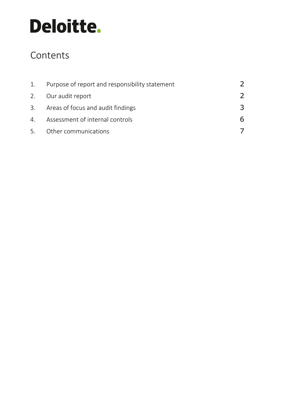### Contents

| 1. | Purpose of report and responsibility statement |  |
|----|------------------------------------------------|--|
|    | 2. Our audit report                            |  |
|    | 3. Areas of focus and audit findings           |  |
| 4. | Assessment of internal controls                |  |
|    | 5. Other communications                        |  |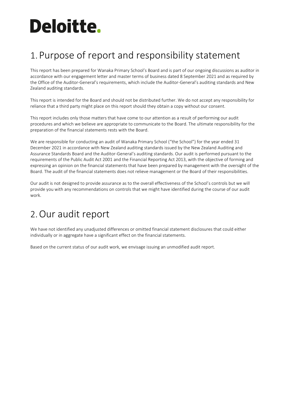### <span id="page-3-0"></span>1.Purpose of report and responsibility statement

This report has been prepared for Wanaka Primary School's Board and is part of our ongoing discussions as auditor in accordance with our engagement letter and master terms of business dated 8 September 2021 and as required by the Office of the Auditor-General's requirements, which include the Auditor-General's auditing standards and New Zealand auditing standards.

This report is intended for the Board and should not be distributed further. We do not accept any responsibility for reliance that a third party might place on this report should they obtain a copy without our consent.

This report includes only those matters that have come to our attention as a result of performing our audit procedures and which we believe are appropriate to communicate to the Board. The ultimate responsibility for the preparation of the financial statements rests with the Board.

We are responsible for conducting an audit of Wanaka Primary School ("the School") for the year ended 31 December 2021 in accordance with New Zealand auditing standards issued by the New Zealand Auditing and Assurance Standards Board and the Auditor-General's auditing standards. Our audit is performed pursuant to the requirements of the Public Audit Act 2001 and the Financial Reporting Act 2013, with the objective of forming and expressing an opinion on the financial statements that have been prepared by management with the oversight of the Board. The audit of the financial statements does not relieve management or the Board of their responsibilities.

Our audit is not designed to provide assurance as to the overall effectiveness of the School's controls but we will provide you with any recommendations on controls that we might have identified during the course of our audit work.

#### <span id="page-3-1"></span>2.Our audit report

We have not identified any unadjusted differences or omitted financial statement disclosures that could either individually or in aggregate have a significant effect on the financial statements.

Based on the current status of our audit work, we envisage issuing an unmodified audit report.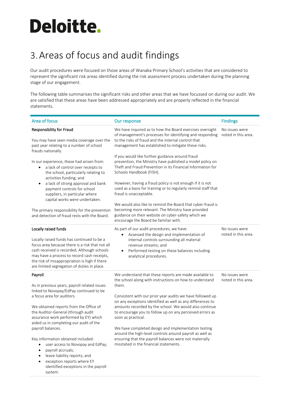### <span id="page-4-0"></span>3.Areas of focus and audit findings

Our audit procedures were focused on those areas of Wanaka Primary School's activities that are considered to represent the significant risk areas identified during the risk assessment process undertaken during the planning stage of our engagement.

The following table summarises the significant risks and other areas that we have focussed on during our audit. We are satisfied that these areas have been addressed appropriately and are properly reflected in the financial statements.

| Area of focus                                                                                                                                                                                                                                                                               | Our response                                                                                                                                                                                                                       | <b>Findings</b>                       |
|---------------------------------------------------------------------------------------------------------------------------------------------------------------------------------------------------------------------------------------------------------------------------------------------|------------------------------------------------------------------------------------------------------------------------------------------------------------------------------------------------------------------------------------|---------------------------------------|
| <b>Responsibility for Fraud</b><br>You may have seen media coverage over the<br>past year relating to a number of school<br>frauds nationally.                                                                                                                                              | We have inquired as to how the Board exercises oversight<br>of management's processes for identifying and responding<br>to the risks of fraud and the internal control that<br>management has established to mitigate these risks. | No issues were<br>noted in this area. |
| In our experience, these had arisen from:<br>a lack of control over receipts to<br>$\bullet$<br>the school, particularly relating to<br>activities funding; and                                                                                                                             | If you would like further guidance around fraud<br>prevention, the Ministry have published a model policy on<br>Theft and Fraud Prevention in its Financial Information for<br>Schools Handbook (FISH).                            |                                       |
| a lack of strong approval and bank<br>payment controls for school<br>suppliers, in particular where<br>capital works were undertaken.                                                                                                                                                       | However, having a fraud policy is not enough if it is not<br>used as a basis for training or to regularly remind staff that<br>fraud is unacceptable.                                                                              |                                       |
| The primary responsibility for the prevention<br>and detection of fraud rests with the Board.                                                                                                                                                                                               | We would also like to remind the Board that cyber-fraud is<br>becoming more relevant. The Ministry have provided<br>guidance on their website on cyber-safety which we<br>encourage the Board be familiar with.                    |                                       |
| Locally raised funds                                                                                                                                                                                                                                                                        | As part of our audit procedures, we have:                                                                                                                                                                                          | No issues were                        |
| Locally raised funds has continued to be a<br>focus area because there is a risk that not all<br>cash received is recorded. Although schools<br>may have a process to record cash receipts,<br>the risk of misappropriation is high if there<br>are limited segregation of duties in place. | Assessed the design and implementation of<br>$\bullet$<br>internal controls surrounding all material<br>revenue streams; and<br>Performed testing on these balances including<br>analytical procedures.                            | noted in this area.                   |
| Payroll<br>As in previous years, payroll related issues<br>linked to Novopay/EdPay continued to be                                                                                                                                                                                          | We understand that these reports are made available to<br>the school along with instructions on how to understand<br>them.                                                                                                         | No issues were<br>noted in this area. |
| a focus area for auditors.                                                                                                                                                                                                                                                                  | Consistent with our prior year audits we have followed up<br>on any exceptions identified as well as any differences to                                                                                                            |                                       |
| We obtained reports from the Office of<br>the Auditor-General (through audit<br>assurance work performed by EY) which<br>aided us in completing our audit of the                                                                                                                            | amounts recorded by the school. We would also continue<br>to encourage you to follow up on any perceived errors as<br>soon as practical.                                                                                           |                                       |
| payroll balances.                                                                                                                                                                                                                                                                           | We have completed design and implementation testing<br>around the high-level controls around payroll as well as                                                                                                                    |                                       |
| Key information obtained included:<br>user access to Novopay and EdPay;<br>payroll accruals;<br>leave liability reports; and<br>$\bullet$<br>exception reports where EY<br>$\bullet$<br>identified exceptions in the payroll<br>system.                                                     | ensuring that the payroll balances were not materially<br>misstated in the financial statements.                                                                                                                                   |                                       |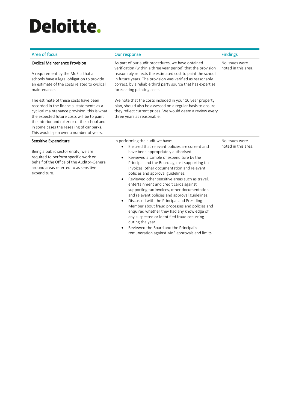| Area of focus                                                                                                                                                                                                                                                                                                           | Our response                                                                                                                                                                                                                                                                                                                                                                                                                                                                                                                                                                                                                                                                                                                                                                                                                                  | <b>Findings</b>                       |
|-------------------------------------------------------------------------------------------------------------------------------------------------------------------------------------------------------------------------------------------------------------------------------------------------------------------------|-----------------------------------------------------------------------------------------------------------------------------------------------------------------------------------------------------------------------------------------------------------------------------------------------------------------------------------------------------------------------------------------------------------------------------------------------------------------------------------------------------------------------------------------------------------------------------------------------------------------------------------------------------------------------------------------------------------------------------------------------------------------------------------------------------------------------------------------------|---------------------------------------|
| <b>Cyclical Maintenance Provision</b><br>A requirement by the MoE is that all<br>schools have a legal obligation to provide<br>an estimate of the costs related to cyclical<br>maintenance.                                                                                                                             | As part of our audit procedures, we have obtained<br>verification (within a three year period) that the provision<br>reasonably reflects the estimated cost to paint the school<br>in future years. The provision was verified as reasonably<br>correct, by a reliable third party source that has expertise<br>forecasting painting costs.                                                                                                                                                                                                                                                                                                                                                                                                                                                                                                   | No issues were<br>noted in this area. |
| The estimate of these costs have been<br>recorded in the financial statements as a<br>cyclical maintenance provision; this is what<br>the expected future costs will be to paint<br>the interior and exterior of the school and<br>in some cases the resealing of car parks.<br>This would span over a number of years. | We note that the costs included in your 10 year property<br>plan, should also be assessed on a regular basis to ensure<br>they reflect current prices. We would deem a review every<br>three years as reasonable.                                                                                                                                                                                                                                                                                                                                                                                                                                                                                                                                                                                                                             |                                       |
| Sensitive Expenditure<br>Being a public sector entity, we are<br>required to perform specific work on<br>behalf of the Office of the Auditor-General<br>around areas referred to as sensitive<br>expenditure.                                                                                                           | In performing the audit we have:<br>Ensured that relevant policies are current and<br>$\bullet$<br>have been appropriately authorised.<br>Reviewed a sample of expenditure by the<br>Principal and the Board against supporting tax<br>invoices, other documentation and relevant<br>policies and approval guidelines.<br>Reviewed other sensitive areas such as travel,<br>$\bullet$<br>entertainment and credit cards against<br>supporting tax invoices, other documentation<br>and relevant policies and approval guidelines.<br>Discussed with the Principal and Presiding<br>Member about fraud processes and policies and<br>enquired whether they had any knowledge of<br>any suspected or identified fraud occurring<br>during the year.<br>Reviewed the Board and the Principal's<br>remuneration against MoE approvals and limits. | No issues were<br>noted in this area. |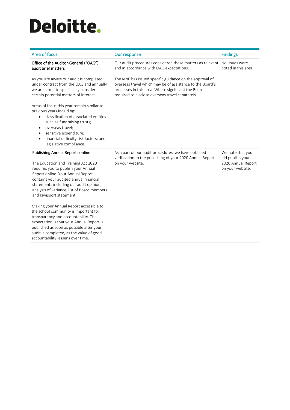audit is completed, as the value of good accountability lessens over time.

| Area of focus                                                                                                                                                                                                                                                                                                              | Our response                                                                                                                                                                                                                       | <b>Findings</b>                                                                |
|----------------------------------------------------------------------------------------------------------------------------------------------------------------------------------------------------------------------------------------------------------------------------------------------------------------------------|------------------------------------------------------------------------------------------------------------------------------------------------------------------------------------------------------------------------------------|--------------------------------------------------------------------------------|
| Office of the Auditor-General ("OAG")<br>audit brief matters                                                                                                                                                                                                                                                               | Our audit procedures considered these matters as relevant No issues were<br>and in accordance with OAG expectations.                                                                                                               | noted in this area.                                                            |
| As you are aware our audit is completed<br>under contract from the OAG and annually<br>we are asked to specifically consider<br>certain potential matters of interest.                                                                                                                                                     | The MoE has issued specific guidance on the approval of<br>overseas travel which may be of assistance to the Board's<br>processes in this area. Where significant the Board is<br>required to disclose overseas travel separately. |                                                                                |
| Areas of focus this year remain similar to<br>previous years including:<br>classification of associated entities<br>such as fundraising trusts;<br>overseas travel;<br>٠<br>sensitive expenditure;<br>financial difficulty risk factors; and<br>$\bullet$<br>legislative compliance.                                       |                                                                                                                                                                                                                                    |                                                                                |
| <b>Publishing Annual Reports online</b><br>The Education and Training Act 2020<br>requires you to publish your Annual<br>Report online. Your Annual Report<br>contains your audited annual financial<br>statements including our audit opinion,<br>analysis of variance, list of Board members<br>and Kiwisport statement. | As a part of our audit procedures, we have obtained<br>verification to the publishing of your 2020 Annual Report<br>on your website.                                                                                               | We note that you<br>did publish your<br>2020 Annual Report<br>on your website. |
| Making your Annual Report accessible to<br>the school community is important for<br>transparency and accountability. The<br>expectation is that your Annual Report is<br>published as soon as possible after your                                                                                                          |                                                                                                                                                                                                                                    |                                                                                |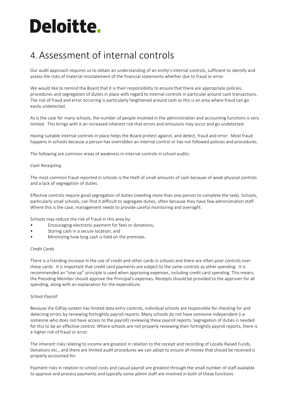### <span id="page-7-0"></span>4.Assessment of internal controls

Our audit approach requires us to obtain an understanding of an entity's internal controls, sufficient to identify and assess the risks of material misstatement of the financial statements whether due to fraud or error.

We would like to remind the Board that it is their responsibility to ensure that there are appropriate policies, procedures and segregation of duties in place with regard to internal controls in particular around cash transactions. The risk of fraud and error occurring is particularly heightened around cash as this is an area where fraud can go easily undetected.

As is the case for many schools, the number of people involved in the administration and accounting functions is very limited. This brings with it an increased inherent risk that errors and omissions may occur and go undetected.

Having suitable internal controls in place helps the Board protect against, and detect, fraud and error. Most fraud happens in schools because a person has overridden an internal control or has not followed policies and procedures.

The following are common areas of weakness in internal controls in school audits:

#### *Cash Receipting*

The most common fraud reported in schools is the theft of small amounts of cash because of weak physical controls and a lack of segregation of duties.

Effective controls require good segregation of duties (needing more than one person to complete the task). Schools, particularly small schools, can find it difficult to segregate duties, often because they have few administration staff. Where this is the case, management needs to provide careful monitoring and oversight.

Schools may reduce the risk of fraud in this area by:

- Encouraging electronic payment for fees or donations;
- Storing cash in a secure location; and
- Minimizing how long cash is held on the premises.

#### *Credit Cards*

There is a trending increase in the use of credit and other cards in schools and there are often poor controls over these cards. It is important that credit card payments are subject to the same controls as other spending. It is recommended an "one-up" principle is used when approving expenses, including credit card spending. This means the Presiding Member should approve the Principal's expenses. Receipts should be provided to the approver for all spending, along with an explanation for the expenditure.

#### *School Payroll*

Because the EdPay system has limited data entry controls, individual schools are responsible for checking for and detecting errors by reviewing fortnightly payroll reports. Many schools do not have someone independent (i.e. someone who does not have access to the payroll) reviewing these payroll reports. Segregation of duties is needed for this to be an effective control. Where schools are not properly reviewing their fortnightly payroll reports, there is a higher risk of fraud or error.

The inherent risks relating to income are greatest in relation to the receipt and recording of Locally Raised Funds, Donations etc., and there are limited audit procedures we can adopt to ensure all money that should be received is properly accounted for.

Payment risks in relation to school costs and casual payroll are greatest through the small number of staff available to approve and process payments and typically some admin staff are involved in both of these functions.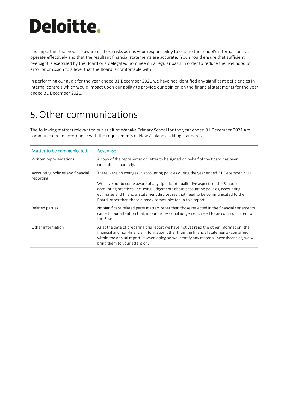It is important that you are aware of these risks as it is your responsibility to ensure the school's internal controls operate effectively and that the resultant financial statements are accurate. You should ensure that sufficient oversight is exercised by the Board or a delegated nominee on a regular basis in order to reduce the likelihood of error or omission to a level that the Board is comfortable with.

In performing our audit for the year ended 31 December 2021 we have not identified any significant deficiencies in internal controls which would impact upon our ability to provide our opinion on the financial statements for the year ended 31 December 2021.

### <span id="page-8-0"></span>5.Other communications

The following matters relevant to our audit of Wanaka Primary School for the year ended 31 December 2021 are communicated in accordance with the requirements of New Zealand auditing standards.

| Matter to be communicated                      | Response                                                                                                                                                                                                                                                                                                                                                                                                         |
|------------------------------------------------|------------------------------------------------------------------------------------------------------------------------------------------------------------------------------------------------------------------------------------------------------------------------------------------------------------------------------------------------------------------------------------------------------------------|
| Written representations                        | A copy of the representation letter to be signed on behalf of the Board has been<br>circulated separately.                                                                                                                                                                                                                                                                                                       |
| Accounting policies and financial<br>reporting | There were no changes in accounting policies during the year ended 31 December 2021.<br>We have not become aware of any significant qualitative aspects of the School's<br>accounting practices, including judgements about accounting policies, accounting<br>estimates and financial statement disclosures that need to be communicated to the<br>Board, other than those already communicated in this report. |
| Related parties                                | No significant related party matters other than those reflected in the financial statements<br>came to our attention that, in our professional judgement, need to be communicated to<br>the Board.                                                                                                                                                                                                               |
| Other information                              | As at the date of preparing this report we have not yet read the other information (the<br>financial and non-financial information other than the financial statements) contained<br>within the annual report. If when doing so we identify any material inconsistencies, we will<br>bring them to your attention.                                                                                               |